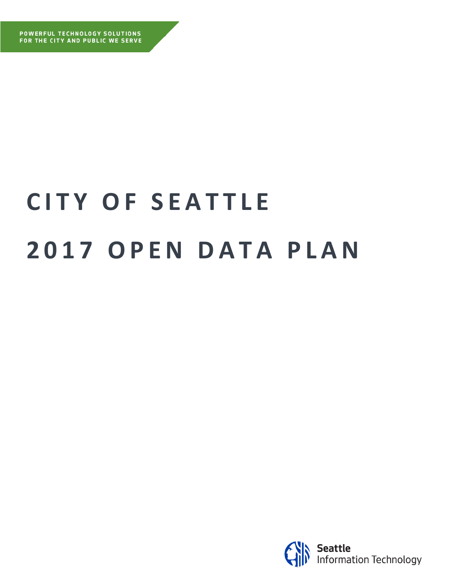# **C I T Y O F S E A T T L E 2 0 1 7 O P E N D A T A P L A N**

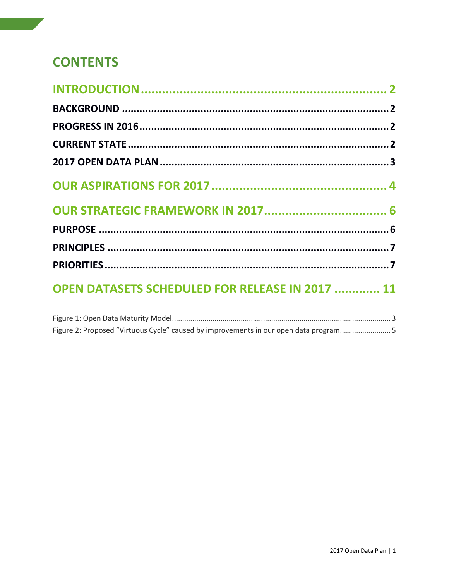# **CONTENTS**

| OPEN DATASETS SCHEDULED FOR RELEASE IN 2017  11 |  |
|-------------------------------------------------|--|

|  | Figure 2: Proposed "Virtuous Cycle" caused by improvements in our open data program5 |  |
|--|--------------------------------------------------------------------------------------|--|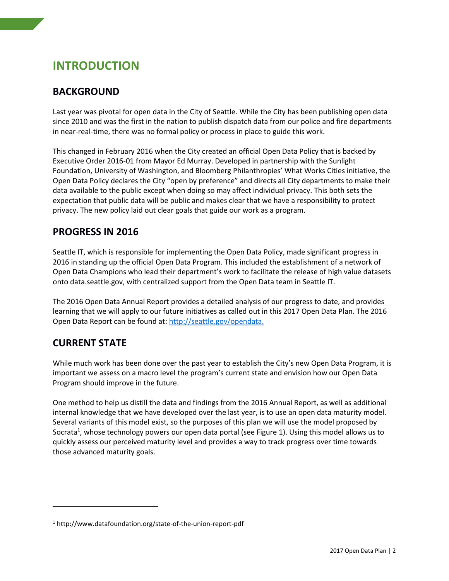# <span id="page-2-0"></span>**INTRODUCTION**

## <span id="page-2-1"></span>**BACKGROUND**

Last year was pivotal for open data in the City of Seattle. While the City has been publishing open data since 2010 and was the first in the nation to publish dispatch data from our police and fire departments in near-real-time, there was no formal policy or process in place to guide this work.

This changed in February 2016 when the City created an official Open Data Policy that is backed by Executive Order 2016-01 from Mayor Ed Murray. Developed in partnership with the Sunlight Foundation, University of Washington, and Bloomberg Philanthropies' What Works Cities initiative, the Open Data Policy declares the City "open by preference" and directs all City departments to make their data available to the public except when doing so may affect individual privacy. This both sets the expectation that public data will be public and makes clear that we have a responsibility to protect privacy. The new policy laid out clear goals that guide our work as a program.

## <span id="page-2-2"></span>**PROGRESS IN 2016**

Seattle IT, which is responsible for implementing the Open Data Policy, made significant progress in 2016 in standing up the official Open Data Program. This included the establishment of a network of Open Data Champions who lead their department's work to facilitate the release of high value datasets onto data.seattle.gov, with centralized support from the Open Data team in Seattle IT.

The 2016 Open Data Annual Report provides a detailed analysis of our progress to date, and provides learning that we will apply to our future initiatives as called out in this 2017 Open Data Plan. The 2016 Open Data Report can be found at[: http://seattle.gov/opendata.](http://seattle.gov/opendata)

## <span id="page-2-3"></span>**CURRENT STATE**

 $\overline{\phantom{a}}$ 

While much work has been done over the past year to establish the City's new Open Data Program, it is important we assess on a macro level the program's current state and envision how our Open Data Program should improve in the future.

One method to help us distill the data and findings from the 2016 Annual Report, as well as additional internal knowledge that we have developed over the last year, is to use an open data maturity model. Several variants of this model exist, so the purposes of this plan we will use the model proposed by Socrata<sup>1</sup>, whose technology powers our open data portal (see Figure 1). Using this model allows us to quickly assess our perceived maturity level and provides a way to track progress over time towards those advanced maturity goals.

<sup>1</sup> http://www.datafoundation.org/state-of-the-union-report-pdf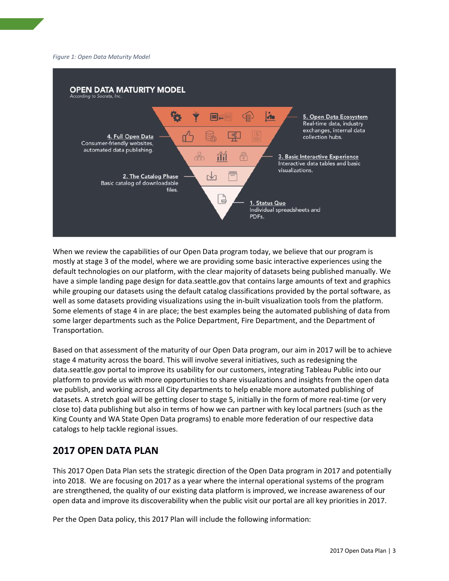#### <span id="page-3-1"></span>*Figure 1: Open Data Maturity Model*



When we review the capabilities of our Open Data program today, we believe that our program is mostly at stage 3 of the model, where we are providing some basic interactive experiences using the default technologies on our platform, with the clear majority of datasets being published manually. We have a simple landing page design for data.seattle.gov that contains large amounts of text and graphics while grouping our datasets using the default catalog classifications provided by the portal software, as well as some datasets providing visualizations using the in-built visualization tools from the platform. Some elements of stage 4 in are place; the best examples being the automated publishing of data from some larger departments such as the Police Department, Fire Department, and the Department of Transportation.

Based on that assessment of the maturity of our Open Data program, our aim in 2017 will be to achieve stage 4 maturity across the board. This will involve several initiatives, such as redesigning the data.seattle.gov portal to improve its usability for our customers, integrating Tableau Public into our platform to provide us with more opportunities to share visualizations and insights from the open data we publish, and working across all City departments to help enable more automated publishing of datasets. A stretch goal will be getting closer to stage 5, initially in the form of more real-time (or very close to) data publishing but also in terms of how we can partner with key local partners (such as the King County and WA State Open Data programs) to enable more federation of our respective data catalogs to help tackle regional issues.

### <span id="page-3-0"></span>**2017 OPEN DATA PLAN**

This 2017 Open Data Plan sets the strategic direction of the Open Data program in 2017 and potentially into 2018. We are focusing on 2017 as a year where the internal operational systems of the program are strengthened, the quality of our existing data platform is improved, we increase awareness of our open data and improve its discoverability when the public visit our portal are all key priorities in 2017.

Per the Open Data policy, this 2017 Plan will include the following information: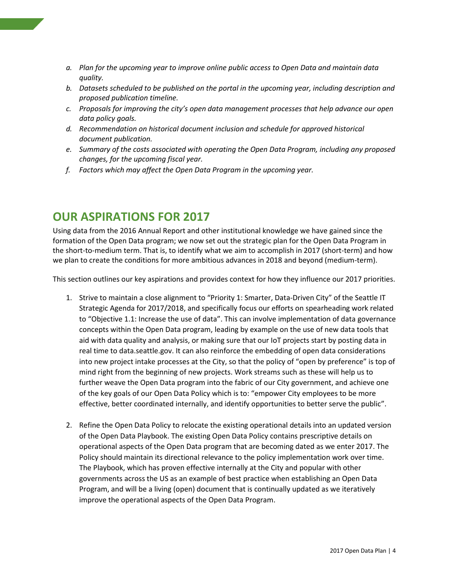- *a. Plan for the upcoming year to improve online public access to Open Data and maintain data quality.*
- *b. Datasets scheduled to be published on the portal in the upcoming year, including description and proposed publication timeline.*
- *c. Proposals for improving the city's open data management processes that help advance our open data policy goals.*
- *d. Recommendation on historical document inclusion and schedule for approved historical document publication.*
- *e. Summary of the costs associated with operating the Open Data Program, including any proposed changes, for the upcoming fiscal year.*
- *f. Factors which may affect the Open Data Program in the upcoming year.*

# <span id="page-4-0"></span>**OUR ASPIRATIONS FOR 2017**

Using data from the 2016 Annual Report and other institutional knowledge we have gained since the formation of the Open Data program; we now set out the strategic plan for the Open Data Program in the short-to-medium term. That is, to identify what we aim to accomplish in 2017 (short-term) and how we plan to create the conditions for more ambitious advances in 2018 and beyond (medium-term).

This section outlines our key aspirations and provides context for how they influence our 2017 priorities.

- 1. Strive to maintain a close alignment to "Priority 1: Smarter, Data-Driven City" of the Seattle IT Strategic Agenda for 2017/2018, and specifically focus our efforts on spearheading work related to "Objective 1.1: Increase the use of data". This can involve implementation of data governance concepts within the Open Data program, leading by example on the use of new data tools that aid with data quality and analysis, or making sure that our IoT projects start by posting data in real time to data.seattle.gov. It can also reinforce the embedding of open data considerations into new project intake processes at the City, so that the policy of "open by preference" is top of mind right from the beginning of new projects. Work streams such as these will help us to further weave the Open Data program into the fabric of our City government, and achieve one of the key goals of our Open Data Policy which is to: "empower City employees to be more effective, better coordinated internally, and identify opportunities to better serve the public".
- 2. Refine the Open Data Policy to relocate the existing operational details into an updated version of the Open Data Playbook. The existing Open Data Policy contains prescriptive details on operational aspects of the Open Data program that are becoming dated as we enter 2017. The Policy should maintain its directional relevance to the policy implementation work over time. The Playbook, which has proven effective internally at the City and popular with other governments across the US as an example of best practice when establishing an Open Data Program, and will be a living (open) document that is continually updated as we iteratively improve the operational aspects of the Open Data Program.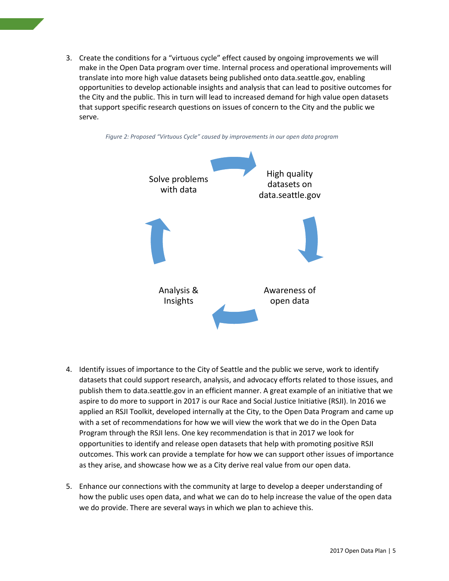3. Create the conditions for a "virtuous cycle" effect caused by ongoing improvements we will make in the Open Data program over time. Internal process and operational improvements will translate into more high value datasets being published onto data.seattle.gov, enabling opportunities to develop actionable insights and analysis that can lead to positive outcomes for the City and the public. This in turn will lead to increased demand for high value open datasets that support specific research questions on issues of concern to the City and the public we serve.

<span id="page-5-0"></span>

- 4. Identify issues of importance to the City of Seattle and the public we serve, work to identify datasets that could support research, analysis, and advocacy efforts related to those issues, and publish them to data.seattle.gov in an efficient manner. A great example of an initiative that we aspire to do more to support in 2017 is our Race and Social Justice Initiative (RSJI). In 2016 we applied an RSJI Toolkit, developed internally at the City, to the Open Data Program and came up with a set of recommendations for how we will view the work that we do in the Open Data Program through the RSJI lens. One key recommendation is that in 2017 we look for opportunities to identify and release open datasets that help with promoting positive RSJI outcomes. This work can provide a template for how we can support other issues of importance as they arise, and showcase how we as a City derive real value from our open data.
- 5. Enhance our connections with the community at large to develop a deeper understanding of how the public uses open data, and what we can do to help increase the value of the open data we do provide. There are several ways in which we plan to achieve this.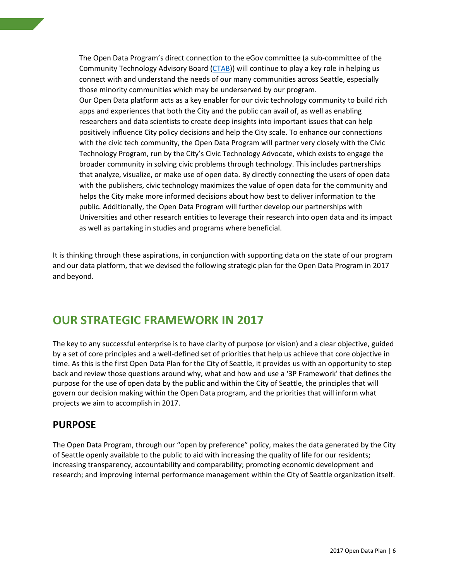The Open Data Program's direct connection to the eGov committee (a sub-committee of the Community Technology Advisory Board [\(CTAB\)](http://www.seattle.gov/community-technology-advisory-board)) will continue to play a key role in helping us connect with and understand the needs of our many communities across Seattle, especially those minority communities which may be underserved by our program. Our Open Data platform acts as a key enabler for our civic technology community to build rich apps and experiences that both the City and the public can avail of, as well as enabling researchers and data scientists to create deep insights into important issues that can help positively influence City policy decisions and help the City scale. To enhance our connections with the civic tech community, the Open Data Program will partner very closely with the Civic Technology Program, run by the City's Civic Technology Advocate, which exists to engage the broader community in solving civic problems through technology. This includes partnerships that analyze, visualize, or make use of open data. By directly connecting the users of open data with the publishers, civic technology maximizes the value of open data for the community and helps the City make more informed decisions about how best to deliver information to the public. Additionally, the Open Data Program will further develop our partnerships with Universities and other research entities to leverage their research into open data and its impact as well as partaking in studies and programs where beneficial.

It is thinking through these aspirations, in conjunction with supporting data on the state of our program and our data platform, that we devised the following strategic plan for the Open Data Program in 2017 and beyond.

# <span id="page-6-0"></span>**OUR STRATEGIC FRAMEWORK IN 2017**

The key to any successful enterprise is to have clarity of purpose (or vision) and a clear objective, guided by a set of core principles and a well-defined set of priorities that help us achieve that core objective in time. As this is the first Open Data Plan for the City of Seattle, it provides us with an opportunity to step back and review those questions around why, what and how and use a '3P Framework' that defines the purpose for the use of open data by the public and within the City of Seattle, the principles that will govern our decision making within the Open Data program, and the priorities that will inform what projects we aim to accomplish in 2017.

### <span id="page-6-1"></span>**PURPOSE**

The Open Data Program, through our "open by preference" policy, makes the data generated by the City of Seattle openly available to the public to aid with increasing the quality of life for our residents; increasing transparency, accountability and comparability; promoting economic development and research; and improving internal performance management within the City of Seattle organization itself.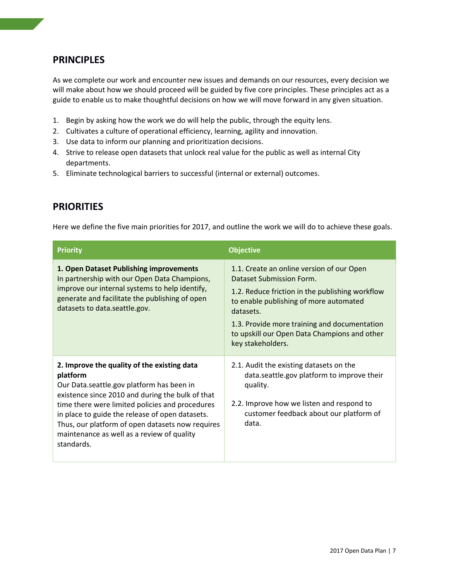## <span id="page-7-0"></span>**PRINCIPLES**

As we complete our work and encounter new issues and demands on our resources, every decision we will make about how we should proceed will be guided by five core principles. These principles act as a guide to enable us to make thoughtful decisions on how we will move forward in any given situation.

- 1. Begin by asking how the work we do will help the public, through the equity lens.
- 2. Cultivates a culture of operational efficiency, learning, agility and innovation.
- 3. Use data to inform our planning and prioritization decisions.
- 4. Strive to release open datasets that unlock real value for the public as well as internal City departments.
- 5. Eliminate technological barriers to successful (internal or external) outcomes.

## <span id="page-7-1"></span>**PRIORITIES**

Here we define the five main priorities for 2017, and outline the work we will do to achieve these goals.

| <b>Priority</b>                                                                                                                                                                                                                                                                                                                                                                | <b>Objective</b>                                                                                                                                                                                                                                                                                     |
|--------------------------------------------------------------------------------------------------------------------------------------------------------------------------------------------------------------------------------------------------------------------------------------------------------------------------------------------------------------------------------|------------------------------------------------------------------------------------------------------------------------------------------------------------------------------------------------------------------------------------------------------------------------------------------------------|
| 1. Open Dataset Publishing improvements<br>In partnership with our Open Data Champions,<br>improve our internal systems to help identify,<br>generate and facilitate the publishing of open<br>datasets to data.seattle.gov.                                                                                                                                                   | 1.1. Create an online version of our Open<br>Dataset Submission Form.<br>1.2. Reduce friction in the publishing workflow<br>to enable publishing of more automated<br>datasets.<br>1.3. Provide more training and documentation<br>to upskill our Open Data Champions and other<br>key stakeholders. |
| 2. Improve the quality of the existing data<br>platform<br>Our Data.seattle.gov platform has been in<br>existence since 2010 and during the bulk of that<br>time there were limited policies and procedures<br>in place to guide the release of open datasets.<br>Thus, our platform of open datasets now requires<br>maintenance as well as a review of quality<br>standards. | 2.1. Audit the existing datasets on the<br>data.seattle.gov platform to improve their<br>quality.<br>2.2. Improve how we listen and respond to<br>customer feedback about our platform of<br>data.                                                                                                   |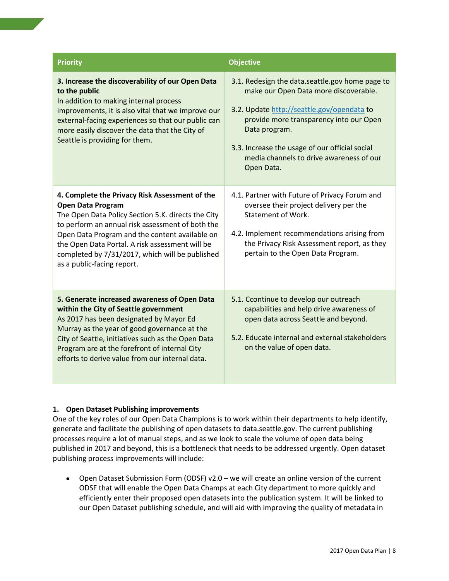| <b>Priority</b>                                                                                                                                                                                                                                                                                                                                                            | <b>Objective</b>                                                                                                                                                                                                                                                                                               |
|----------------------------------------------------------------------------------------------------------------------------------------------------------------------------------------------------------------------------------------------------------------------------------------------------------------------------------------------------------------------------|----------------------------------------------------------------------------------------------------------------------------------------------------------------------------------------------------------------------------------------------------------------------------------------------------------------|
| 3. Increase the discoverability of our Open Data<br>to the public<br>In addition to making internal process<br>improvements, it is also vital that we improve our<br>external-facing experiences so that our public can<br>more easily discover the data that the City of<br>Seattle is providing for them.                                                                | 3.1. Redesign the data.seattle.gov home page to<br>make our Open Data more discoverable.<br>3.2. Update http://seattle.gov/opendata to<br>provide more transparency into our Open<br>Data program.<br>3.3. Increase the usage of our official social<br>media channels to drive awareness of our<br>Open Data. |
| 4. Complete the Privacy Risk Assessment of the<br><b>Open Data Program</b><br>The Open Data Policy Section 5.K. directs the City<br>to perform an annual risk assessment of both the<br>Open Data Program and the content available on<br>the Open Data Portal. A risk assessment will be<br>completed by 7/31/2017, which will be published<br>as a public-facing report. | 4.1. Partner with Future of Privacy Forum and<br>oversee their project delivery per the<br><b>Statement of Work.</b><br>4.2. Implement recommendations arising from<br>the Privacy Risk Assessment report, as they<br>pertain to the Open Data Program.                                                        |
| 5. Generate increased awareness of Open Data<br>within the City of Seattle government<br>As 2017 has been designated by Mayor Ed<br>Murray as the year of good governance at the<br>City of Seattle, initiatives such as the Open Data<br>Program are at the forefront of internal City<br>efforts to derive value from our internal data.                                 | 5.1. Ccontinue to develop our outreach<br>capabilities and help drive awareness of<br>open data across Seattle and beyond.<br>5.2. Educate internal and external stakeholders<br>on the value of open data.                                                                                                    |

#### **1. Open Dataset Publishing improvements**

One of the key roles of our Open Data Champions is to work within their departments to help identify, generate and facilitate the publishing of open datasets to data.seattle.gov. The current publishing processes require a lot of manual steps, and as we look to scale the volume of open data being published in 2017 and beyond, this is a bottleneck that needs to be addressed urgently. Open dataset publishing process improvements will include:

• Open Dataset Submission Form (ODSF) v2.0 – we will create an online version of the current ODSF that will enable the Open Data Champs at each City department to more quickly and efficiently enter their proposed open datasets into the publication system. It will be linked to our Open Dataset publishing schedule, and will aid with improving the quality of metadata in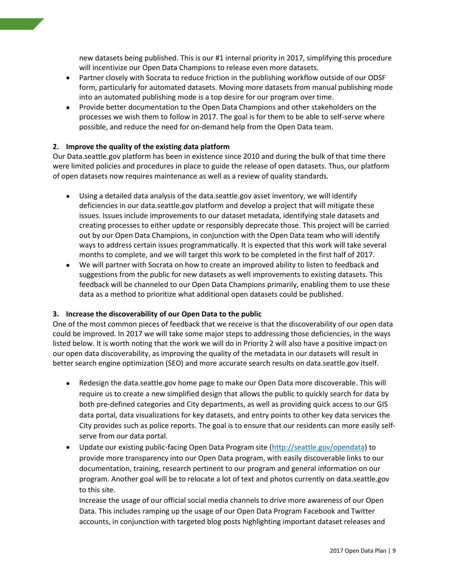new datasets being published. This is our #1 internal priority in 2017, simplifying this procedure will incentivize our Open Data Champions to release even more datasets.

- Partner closely with Socrata to reduce friction in the publishing workflow outside of our ODSF form, particularly for automated datasets. Moving more datasets from manual publishing mode into an automated publishing mode is a top desire for our program over time.
- Provide better documentation to the Open Data Champions and other stakeholders on the processes we wish them to follow in 2017. The goal is for them to be able to self-serve where possible, and reduce the need for on-demand help from the Open Data team.

#### **2. Improve the quality of the existing data platform**

Our Data.seattle.gov platform has been in existence since 2010 and during the bulk of that time there were limited policies and procedures in place to guide the release of open datasets. Thus, our platform of open datasets now requires maintenance as well as a review of quality standards.

- Using a detailed data analysis of the data.seattle.gov asset inventory, we will identify deficiencies in our data.seattle.gov platform and develop a project that will mitigate these issues. Issues include improvements to our dataset metadata, identifying stale datasets and creating processes to either update or responsibly deprecate those. This project will be carried out by our Open Data Champions, in conjunction with the Open Data team who will identify ways to address certain issues programmatically. It is expected that this work will take several months to complete, and we will target this work to be completed in the first half of 2017.
- We will partner with Socrata on how to create an improved ability to listen to feedback and suggestions from the public for new datasets as well improvements to existing datasets. This feedback will be channeled to our Open Data Champions primarily, enabling them to use these data as a method to prioritize what additional open datasets could be published.

#### **3. Increase the discoverability of our Open Data to the public**

One of the most common pieces of feedback that we receive is that the discoverability of our open data could be improved. In 2017 we will take some major steps to addressing those deficiencies, in the ways listed below. It is worth noting that the work we will do in Priority 2 will also have a positive impact on our open data discoverability, as improving the quality of the metadata in our datasets will result in better search engine optimization (SEO) and more accurate search results on data.seattle.gov itself.

- Redesign the data.seattle.gov home page to make our Open Data more discoverable. This will require us to create a new simplified design that allows the public to quickly search for data by both pre-defined categories and City departments, as well as providing quick access to our GIS data portal, data visualizations for key datasets, and entry points to other key data services the City provides such as police reports. The goal is to ensure that our residents can more easily selfserve from our data portal.
- Update our existing public-facing Open Data Program site [\(http://seattle.gov/opendata\)](http://seattle.gov/opendata) to provide more transparency into our Open Data program, with easily discoverable links to our documentation, training, research pertinent to our program and general information on our program. Another goal will be to relocate a lot of text and photos currently on data.seattle.gov to this site.

Increase the usage of our official social media channels to drive more awareness of our Open Data. This includes ramping up the usage of our Open Data Program Facebook and Twitter accounts, in conjunction with targeted blog posts highlighting important dataset releases and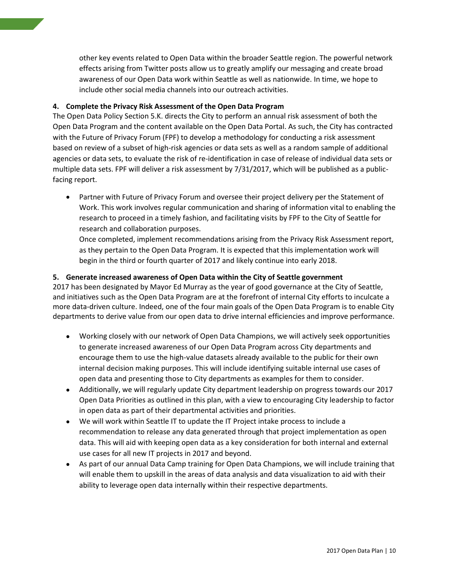other key events related to Open Data within the broader Seattle region. The powerful network effects arising from Twitter posts allow us to greatly amplify our messaging and create broad awareness of our Open Data work within Seattle as well as nationwide. In time, we hope to include other social media channels into our outreach activities.

#### **4. Complete the Privacy Risk Assessment of the Open Data Program**

The Open Data Policy Section 5.K. directs the City to perform an annual risk assessment of both the Open Data Program and the content available on the Open Data Portal. As such, the City has contracted with the Future of Privacy Forum (FPF) to develop a methodology for conducting a risk assessment based on review of a subset of high-risk agencies or data sets as well as a random sample of additional agencies or data sets, to evaluate the risk of re-identification in case of release of individual data sets or multiple data sets. FPF will deliver a risk assessment by 7/31/2017, which will be published as a publicfacing report.

• Partner with Future of Privacy Forum and oversee their project delivery per the Statement of Work. This work involves regular communication and sharing of information vital to enabling the research to proceed in a timely fashion, and facilitating visits by FPF to the City of Seattle for research and collaboration purposes.

Once completed, implement recommendations arising from the Privacy Risk Assessment report, as they pertain to the Open Data Program. It is expected that this implementation work will begin in the third or fourth quarter of 2017 and likely continue into early 2018.

#### **5. Generate increased awareness of Open Data within the City of Seattle government**

2017 has been designated by Mayor Ed Murray as the year of good governance at the City of Seattle, and initiatives such as the Open Data Program are at the forefront of internal City efforts to inculcate a more data-driven culture. Indeed, one of the four main goals of the Open Data Program is to enable City departments to derive value from our open data to drive internal efficiencies and improve performance.

- Working closely with our network of Open Data Champions, we will actively seek opportunities to generate increased awareness of our Open Data Program across City departments and encourage them to use the high-value datasets already available to the public for their own internal decision making purposes. This will include identifying suitable internal use cases of open data and presenting those to City departments as examples for them to consider.
- Additionally, we will regularly update City department leadership on progress towards our 2017 Open Data Priorities as outlined in this plan, with a view to encouraging City leadership to factor in open data as part of their departmental activities and priorities.
- We will work within Seattle IT to update the IT Project intake process to include a recommendation to release any data generated through that project implementation as open data. This will aid with keeping open data as a key consideration for both internal and external use cases for all new IT projects in 2017 and beyond.
- As part of our annual Data Camp training for Open Data Champions, we will include training that will enable them to upskill in the areas of data analysis and data visualization to aid with their ability to leverage open data internally within their respective departments.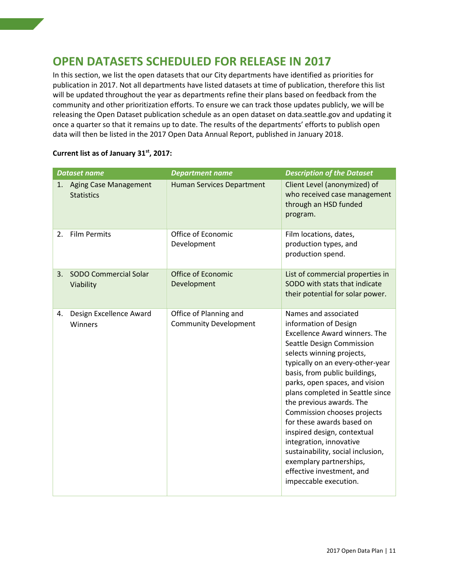# <span id="page-11-0"></span>**OPEN DATASETS SCHEDULED FOR RELEASE IN 2017**

In this section, we list the open datasets that our City departments have identified as priorities for publication in 2017. Not all departments have listed datasets at time of publication, therefore this list will be updated throughout the year as departments refine their plans based on feedback from the community and other prioritization efforts. To ensure we can track those updates publicly, we will be releasing the Open Dataset publication schedule as an open dataset on data.seattle.gov and updating it once a quarter so that it remains up to date. The results of the departments' efforts to publish open data will then be listed in the 2017 Open Data Annual Report, published in January 2018.

|  |  | Current list as of January 31 <sup>st</sup> , 2017: |  |  |
|--|--|-----------------------------------------------------|--|--|
|--|--|-----------------------------------------------------|--|--|

| <b>Dataset name</b>       |                              | <b>Department name</b>                                 | <b>Description of the Dataset</b>                                                                                                                                                                                                                                                                                                                                                                                                                                                                                                                                  |
|---------------------------|------------------------------|--------------------------------------------------------|--------------------------------------------------------------------------------------------------------------------------------------------------------------------------------------------------------------------------------------------------------------------------------------------------------------------------------------------------------------------------------------------------------------------------------------------------------------------------------------------------------------------------------------------------------------------|
| 1.<br><b>Statistics</b>   | <b>Aging Case Management</b> | <b>Human Services Department</b>                       | Client Level (anonymized) of<br>who received case management<br>through an HSD funded<br>program.                                                                                                                                                                                                                                                                                                                                                                                                                                                                  |
| <b>Film Permits</b><br>2. |                              | Office of Economic<br>Development                      | Film locations, dates,<br>production types, and<br>production spend.                                                                                                                                                                                                                                                                                                                                                                                                                                                                                               |
| 3.<br>Viability           | <b>SODO Commercial Solar</b> | <b>Office of Economic</b><br>Development               | List of commercial properties in<br>SODO with stats that indicate<br>their potential for solar power.                                                                                                                                                                                                                                                                                                                                                                                                                                                              |
| 4.<br>Winners             | Design Excellence Award      | Office of Planning and<br><b>Community Development</b> | Names and associated<br>information of Design<br><b>Excellence Award winners. The</b><br>Seattle Design Commission<br>selects winning projects,<br>typically on an every-other-year<br>basis, from public buildings,<br>parks, open spaces, and vision<br>plans completed in Seattle since<br>the previous awards. The<br>Commission chooses projects<br>for these awards based on<br>inspired design, contextual<br>integration, innovative<br>sustainability, social inclusion,<br>exemplary partnerships,<br>effective investment, and<br>impeccable execution. |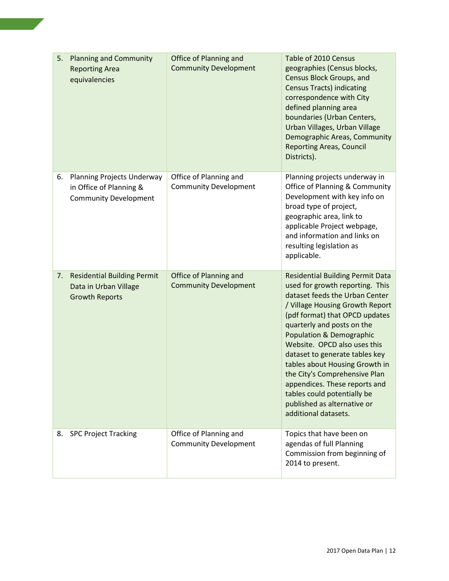| 5. | <b>Planning and Community</b><br><b>Reporting Area</b><br>equivalencies                      | Office of Planning and<br><b>Community Development</b> | Table of 2010 Census<br>geographies (Census blocks,<br>Census Block Groups, and<br><b>Census Tracts) indicating</b><br>correspondence with City<br>defined planning area<br>boundaries (Urban Centers,<br>Urban Villages, Urban Village<br>Demographic Areas, Community<br><b>Reporting Areas, Council</b><br>Districts).                                                                                                                                                                                          |
|----|----------------------------------------------------------------------------------------------|--------------------------------------------------------|--------------------------------------------------------------------------------------------------------------------------------------------------------------------------------------------------------------------------------------------------------------------------------------------------------------------------------------------------------------------------------------------------------------------------------------------------------------------------------------------------------------------|
| 6. | <b>Planning Projects Underway</b><br>in Office of Planning &<br><b>Community Development</b> | Office of Planning and<br><b>Community Development</b> | Planning projects underway in<br>Office of Planning & Community<br>Development with key info on<br>broad type of project,<br>geographic area, link to<br>applicable Project webpage,<br>and information and links on<br>resulting legislation as<br>applicable.                                                                                                                                                                                                                                                    |
| 7. | <b>Residential Building Permit</b><br>Data in Urban Village<br><b>Growth Reports</b>         | Office of Planning and<br><b>Community Development</b> | <b>Residential Building Permit Data</b><br>used for growth reporting. This<br>dataset feeds the Urban Center<br>/ Village Housing Growth Report<br>(pdf format) that OPCD updates<br>quarterly and posts on the<br><b>Population &amp; Demographic</b><br>Website. OPCD also uses this<br>dataset to generate tables key<br>tables about Housing Growth in<br>the City's Comprehensive Plan<br>appendices. These reports and<br>tables could potentially be<br>published as alternative or<br>additional datasets. |
| 8. | <b>SPC Project Tracking</b>                                                                  | Office of Planning and<br><b>Community Development</b> | Topics that have been on<br>agendas of full Planning<br>Commission from beginning of<br>2014 to present.                                                                                                                                                                                                                                                                                                                                                                                                           |

**Contract**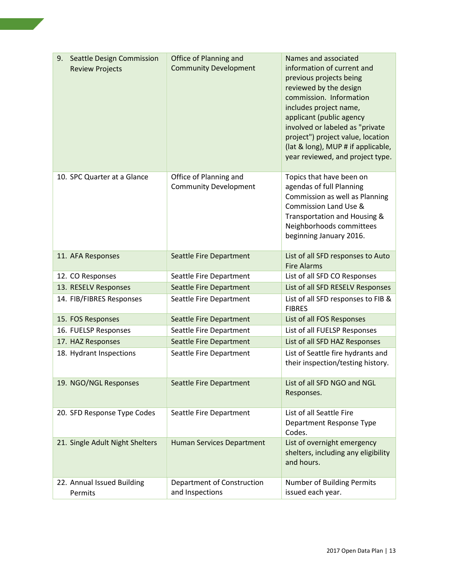| <b>Seattle Design Commission</b><br>9.<br><b>Review Projects</b> | Office of Planning and<br><b>Community Development</b> | Names and associated<br>information of current and<br>previous projects being<br>reviewed by the design<br>commission. Information<br>includes project name,<br>applicant (public agency<br>involved or labeled as "private<br>project") project value, location<br>(lat & long), MUP # if applicable,<br>year reviewed, and project type. |
|------------------------------------------------------------------|--------------------------------------------------------|--------------------------------------------------------------------------------------------------------------------------------------------------------------------------------------------------------------------------------------------------------------------------------------------------------------------------------------------|
| 10. SPC Quarter at a Glance                                      | Office of Planning and<br><b>Community Development</b> | Topics that have been on<br>agendas of full Planning<br>Commission as well as Planning<br>Commission Land Use &<br>Transportation and Housing &<br>Neighborhoods committees<br>beginning January 2016.                                                                                                                                     |
| 11. AFA Responses                                                | <b>Seattle Fire Department</b>                         | List of all SFD responses to Auto<br><b>Fire Alarms</b>                                                                                                                                                                                                                                                                                    |
| 12. CO Responses                                                 | Seattle Fire Department                                | List of all SFD CO Responses                                                                                                                                                                                                                                                                                                               |
| 13. RESELV Responses                                             | <b>Seattle Fire Department</b>                         | List of all SFD RESELV Responses                                                                                                                                                                                                                                                                                                           |
| 14. FIB/FIBRES Responses                                         | Seattle Fire Department                                | List of all SFD responses to FIB &<br><b>FIBRES</b>                                                                                                                                                                                                                                                                                        |
| 15. FOS Responses                                                | Seattle Fire Department                                | List of all FOS Responses                                                                                                                                                                                                                                                                                                                  |
| 16. FUELSP Responses                                             | Seattle Fire Department                                | List of all FUELSP Responses                                                                                                                                                                                                                                                                                                               |
| 17. HAZ Responses                                                | <b>Seattle Fire Department</b>                         | List of all SFD HAZ Responses                                                                                                                                                                                                                                                                                                              |
| 18. Hydrant Inspections                                          | Seattle Fire Department                                | List of Seattle fire hydrants and<br>their inspection/testing history.                                                                                                                                                                                                                                                                     |
| 19. NGO/NGL Responses                                            | <b>Seattle Fire Department</b>                         | List of all SFD NGO and NGL<br>Responses.                                                                                                                                                                                                                                                                                                  |
| 20. SFD Response Type Codes                                      | Seattle Fire Department                                | List of all Seattle Fire<br>Department Response Type<br>Codes.                                                                                                                                                                                                                                                                             |
| 21. Single Adult Night Shelters                                  | <b>Human Services Department</b>                       | List of overnight emergency<br>shelters, including any eligibility<br>and hours.                                                                                                                                                                                                                                                           |
| 22. Annual Issued Building<br>Permits                            | Department of Construction<br>and Inspections          | Number of Building Permits<br>issued each year.                                                                                                                                                                                                                                                                                            |

**Contract**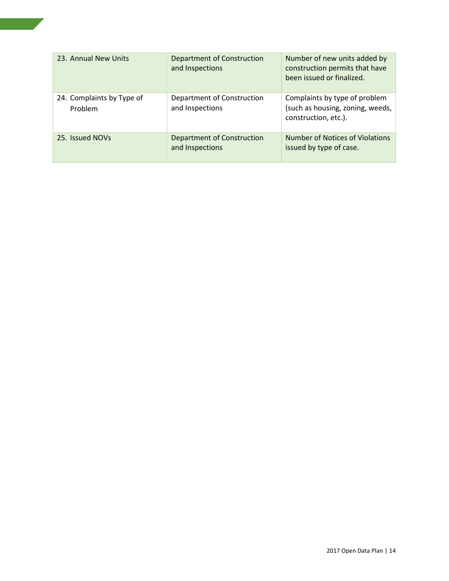| 23. Annual New Units                 | Department of Construction<br>and Inspections | Number of new units added by<br>construction permits that have<br>been issued or finalized. |
|--------------------------------------|-----------------------------------------------|---------------------------------------------------------------------------------------------|
| 24. Complaints by Type of<br>Problem | Department of Construction<br>and Inspections | Complaints by type of problem<br>(such as housing, zoning, weeds,<br>construction, etc.).   |
| 25. Issued NOVs                      | Department of Construction<br>and Inspections | Number of Notices of Violations<br>issued by type of case.                                  |